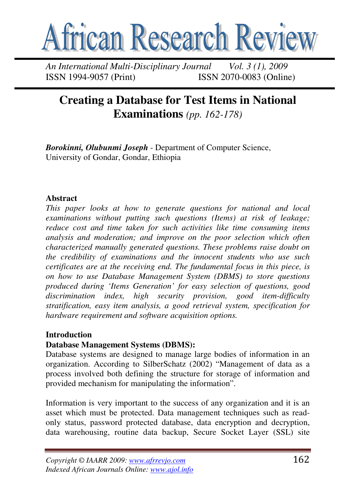

*An International Multi-Disciplinary Journal Vol. 3 (1), 2009*  ISSN 1994-9057 (Print) ISSN 2070-0083 (Online)

# **Creating a Database for Test Items in National Examinations** *(pp. 162-178)*

*Borokinni, Olubunmi Joseph* - Department of Computer Science, University of Gondar, Gondar, Ethiopia

#### **Abstract**

*This paper looks at how to generate questions for national and local examinations without putting such questions (Items) at risk of leakage; reduce cost and time taken for such activities like time consuming items analysis and moderation; and improve on the poor selection which often characterized manually generated questions. These problems raise doubt on the credibility of examinations and the innocent students who use such certificates are at the receiving end. The fundamental focus in this piece, is on how to use Database Management System (DBMS) to store questions produced during 'Items Generation' for easy selection of questions, good discrimination index, high security provision, good item-difficulty stratification, easy item analysis, a good retrieval system, specification for hardware requirement and software acquisition options.* 

#### **Introduction**

#### **Database Management Systems (DBMS):**

Database systems are designed to manage large bodies of information in an organization. According to SilberSchatz (2002) "Management of data as a process involved both defining the structure for storage of information and provided mechanism for manipulating the information".

Information is very important to the success of any organization and it is an asset which must be protected. Data management techniques such as readonly status, password protected database, data encryption and decryption, data warehousing, routine data backup, Secure Socket Layer (SSL) site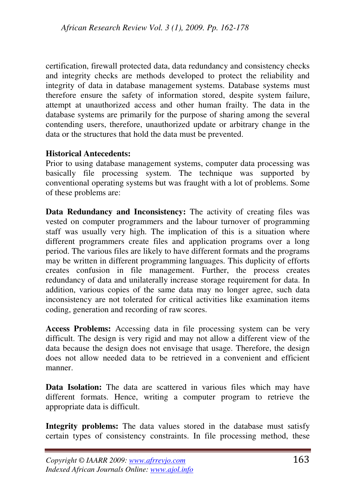certification, firewall protected data, data redundancy and consistency checks and integrity checks are methods developed to protect the reliability and integrity of data in database management systems. Database systems must therefore ensure the safety of information stored, despite system failure, attempt at unauthorized access and other human frailty. The data in the database systems are primarily for the purpose of sharing among the several contending users, therefore, unauthorized update or arbitrary change in the data or the structures that hold the data must be prevented.

#### **Historical Antecedents:**

Prior to using database management systems, computer data processing was basically file processing system. The technique was supported by conventional operating systems but was fraught with a lot of problems. Some of these problems are:

**Data Redundancy and Inconsistency:** The activity of creating files was vested on computer programmers and the labour turnover of programming staff was usually very high. The implication of this is a situation where different programmers create files and application programs over a long period. The various files are likely to have different formats and the programs may be written in different programming languages. This duplicity of efforts creates confusion in file management. Further, the process creates redundancy of data and unilaterally increase storage requirement for data. In addition, various copies of the same data may no longer agree, such data inconsistency are not tolerated for critical activities like examination items coding, generation and recording of raw scores.

**Access Problems:** Accessing data in file processing system can be very difficult. The design is very rigid and may not allow a different view of the data because the design does not envisage that usage. Therefore, the design does not allow needed data to be retrieved in a convenient and efficient manner.

**Data Isolation:** The data are scattered in various files which may have different formats. Hence, writing a computer program to retrieve the appropriate data is difficult.

**Integrity problems:** The data values stored in the database must satisfy certain types of consistency constraints. In file processing method, these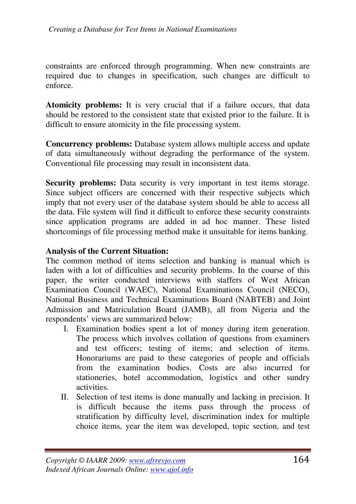constraints are enforced through programming. When new constraints are required due to changes in specification, such changes are difficult to enforce.

**Atomicity problems:** It is very crucial that if a failure occurs, that data should be restored to the consistent state that existed prior to the failure. It is difficult to ensure atomicity in the file processing system.

**Concurrency problems:** Database system allows multiple access and update of data simultaneously without degrading the performance of the system. Conventional file processing may result in inconsistent data.

**Security problems:** Data security is very important in test items storage. Since subject officers are concerned with their respective subjects which imply that not every user of the database system should be able to access all the data. File system will find it difficult to enforce these security constraints since application programs are added in ad hoc manner. These listed shortcomings of file processing method make it unsuitable for items banking.

### **Analysis of the Current Situation:**

The common method of items selection and banking is manual which is laden with a lot of difficulties and security problems. In the course of this paper, the writer conducted interviews with staffers of West African Examination Council (WAEC), National Examinations Council (NECO), National Business and Technical Examinations Board (NABTEB) and Joint Admission and Matriculation Board (JAMB), all from Nigeria and the respondents' views are summarized below:

- I. Examination bodies spent a lot of money during item generation. The process which involves collation of questions from examiners and test officers; testing of items; and selection of items. Honorariums are paid to these categories of people and officials from the examination bodies. Costs are also incurred for stationeries, hotel accommodation, logistics and other sundry activities.
- II. Selection of test items is done manually and lacking in precision. It is difficult because the items pass through the process of stratification by difficulty level, discrimination index for multiple choice items, year the item was developed, topic section, and test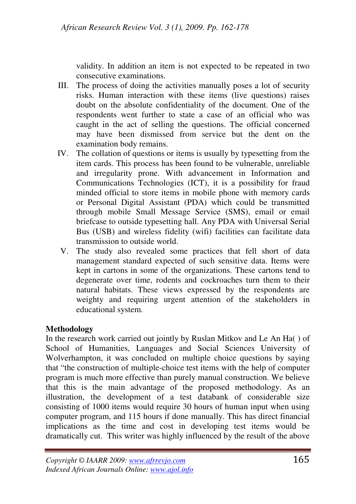validity. In addition an item is not expected to be repeated in two consecutive examinations.

- III. The process of doing the activities manually poses a lot of security risks. Human interaction with these items (live questions) raises doubt on the absolute confidentiality of the document. One of the respondents went further to state a case of an official who was caught in the act of selling the questions. The official concerned may have been dismissed from service but the dent on the examination body remains.
- IV. The collation of questions or items is usually by typesetting from the item cards. This process has been found to be vulnerable, unreliable and irregularity prone. With advancement in Information and Communications Technologies (ICT), it is a possibility for fraud minded official to store items in mobile phone with memory cards or Personal Digital Assistant (PDA) which could be transmitted through mobile Small Message Service (SMS), email or email briefcase to outside typesetting hall. Any PDA with Universal Serial Bus (USB) and wireless fidelity (wifi) facilities can facilitate data transmission to outside world.
- V. The study also revealed some practices that fell short of data management standard expected of such sensitive data. Items were kept in cartons in some of the organizations. These cartons tend to degenerate over time, rodents and cockroaches turn them to their natural habitats. These views expressed by the respondents are weighty and requiring urgent attention of the stakeholders in educational system.

# **Methodology**

In the research work carried out jointly by Ruslan Mitkov and Le An Ha( ) of School of Humanities, Languages and Social Sciences University of Wolverhampton, it was concluded on multiple choice questions by saying that "the construction of multiple-choice test items with the help of computer program is much more effective than purely manual construction. We believe that this is the main advantage of the proposed methodology. As an illustration, the development of a test databank of considerable size consisting of 1000 items would require 30 hours of human input when using computer program, and 115 hours if done manually. This has direct financial implications as the time and cost in developing test items would be dramatically cut. This writer was highly influenced by the result of the above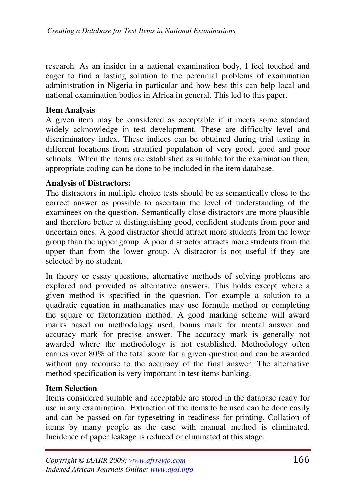research. As an insider in a national examination body, I feel touched and eager to find a lasting solution to the perennial problems of examination administration in Nigeria in particular and how best this can help local and national examination bodies in Africa in general. This led to this paper.

#### **Item Analysis**

A given item may be considered as acceptable if it meets some standard widely acknowledge in test development. These are difficulty level and discriminatory index. These indices can be obtained during trial testing in different locations from stratified population of very good, good and poor schools. When the items are established as suitable for the examination then, appropriate coding can be done to be included in the item database.

#### **Analysis of Distractors:**

The distractors in multiple choice tests should be as semantically close to the correct answer as possible to ascertain the level of understanding of the examinees on the question. Semantically close distractors are more plausible and therefore better at distinguishing good, confident students from poor and uncertain ones. A good distractor should attract more students from the lower group than the upper group. A poor distractor attracts more students from the upper than from the lower group. A distractor is not useful if they are selected by no student.

In theory or essay questions, alternative methods of solving problems are explored and provided as alternative answers. This holds except where a given method is specified in the question. For example a solution to a quadratic equation in mathematics may use formula method or completing the square or factorization method. A good marking scheme will award marks based on methodology used, bonus mark for mental answer and accuracy mark for precise answer. The accuracy mark is generally not awarded where the methodology is not established. Methodology often carries over 80% of the total score for a given question and can be awarded without any recourse to the accuracy of the final answer. The alternative method specification is very important in test items banking.

# **Item Selection**

Items considered suitable and acceptable are stored in the database ready for use in any examination. Extraction of the items to be used can be done easily and can be passed on for typesetting in readiness for printing. Collation of items by many people as the case with manual method is eliminated. Incidence of paper leakage is reduced or eliminated at this stage.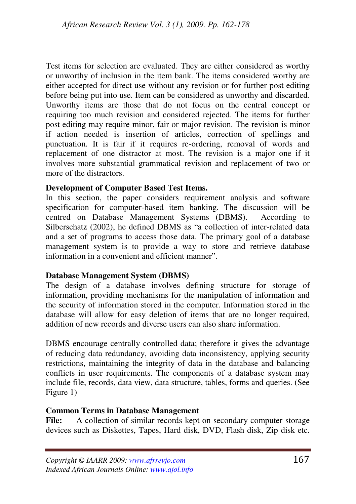Test items for selection are evaluated. They are either considered as worthy or unworthy of inclusion in the item bank. The items considered worthy are either accepted for direct use without any revision or for further post editing before being put into use. Item can be considered as unworthy and discarded. Unworthy items are those that do not focus on the central concept or requiring too much revision and considered rejected. The items for further post editing may require minor, fair or major revision. The revision is minor if action needed is insertion of articles, correction of spellings and punctuation. It is fair if it requires re-ordering, removal of words and replacement of one distractor at most. The revision is a major one if it involves more substantial grammatical revision and replacement of two or more of the distractors.

#### **Development of Computer Based Test Items.**

In this section, the paper considers requirement analysis and software specification for computer-based item banking. The discussion will be centred on Database Management Systems (DBMS). According to Silberschatz (2002), he defined DBMS as "a collection of inter-related data and a set of programs to access those data. The primary goal of a database management system is to provide a way to store and retrieve database information in a convenient and efficient manner".

#### **Database Management System (DBMS)**

The design of a database involves defining structure for storage of information, providing mechanisms for the manipulation of information and the security of information stored in the computer. Information stored in the database will allow for easy deletion of items that are no longer required, addition of new records and diverse users can also share information.

DBMS encourage centrally controlled data; therefore it gives the advantage of reducing data redundancy, avoiding data inconsistency, applying security restrictions, maintaining the integrity of data in the database and balancing conflicts in user requirements. The components of a database system may include file, records, data view, data structure, tables, forms and queries. (See Figure 1)

#### **Common Terms in Database Management**

File: A collection of similar records kept on secondary computer storage devices such as Diskettes, Tapes, Hard disk, DVD, Flash disk, Zip disk etc.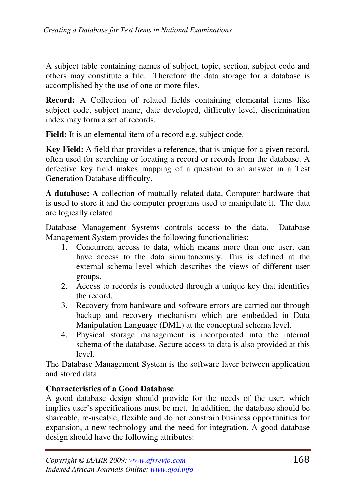A subject table containing names of subject, topic, section, subject code and others may constitute a file. Therefore the data storage for a database is accomplished by the use of one or more files.

**Record:** A Collection of related fields containing elemental items like subject code, subject name, date developed, difficulty level, discrimination index may form a set of records.

**Field:** It is an elemental item of a record e.g. subject code.

**Key Field:** A field that provides a reference, that is unique for a given record, often used for searching or locating a record or records from the database. A defective key field makes mapping of a question to an answer in a Test Generation Database difficulty.

**A database: A** collection of mutually related data, Computer hardware that is used to store it and the computer programs used to manipulate it. The data are logically related.

Database Management Systems controls access to the data. Database Management System provides the following functionalities:

- 1. Concurrent access to data, which means more than one user, can have access to the data simultaneously. This is defined at the external schema level which describes the views of different user groups.
- 2. Access to records is conducted through a unique key that identifies the record.
- 3. Recovery from hardware and software errors are carried out through backup and recovery mechanism which are embedded in Data Manipulation Language (DML) at the conceptual schema level.
- 4. Physical storage management is incorporated into the internal schema of the database. Secure access to data is also provided at this level.

The Database Management System is the software layer between application and stored data.

# **Characteristics of a Good Database**

A good database design should provide for the needs of the user, which implies user's specifications must be met. In addition, the database should be shareable, re-useable, flexible and do not constrain business opportunities for expansion, a new technology and the need for integration. A good database design should have the following attributes: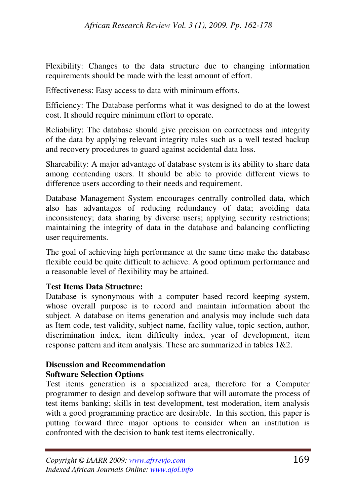Flexibility: Changes to the data structure due to changing information requirements should be made with the least amount of effort.

Effectiveness: Easy access to data with minimum efforts.

Efficiency: The Database performs what it was designed to do at the lowest cost. It should require minimum effort to operate.

Reliability: The database should give precision on correctness and integrity of the data by applying relevant integrity rules such as a well tested backup and recovery procedures to guard against accidental data loss.

Shareability: A major advantage of database system is its ability to share data among contending users. It should be able to provide different views to difference users according to their needs and requirement.

Database Management System encourages centrally controlled data, which also has advantages of reducing redundancy of data; avoiding data inconsistency; data sharing by diverse users; applying security restrictions; maintaining the integrity of data in the database and balancing conflicting user requirements.

The goal of achieving high performance at the same time make the database flexible could be quite difficult to achieve. A good optimum performance and a reasonable level of flexibility may be attained.

# **Test Items Data Structure:**

Database is synonymous with a computer based record keeping system, whose overall purpose is to record and maintain information about the subject. A database on items generation and analysis may include such data as Item code, test validity, subject name, facility value, topic section, author, discrimination index, item difficulty index, year of development, item response pattern and item analysis. These are summarized in tables 1&2.

#### **Discussion and Recommendation Software Selection Options**

Test items generation is a specialized area, therefore for a Computer programmer to design and develop software that will automate the process of test items banking; skills in test development, test moderation, item analysis with a good programming practice are desirable. In this section, this paper is putting forward three major options to consider when an institution is confronted with the decision to bank test items electronically.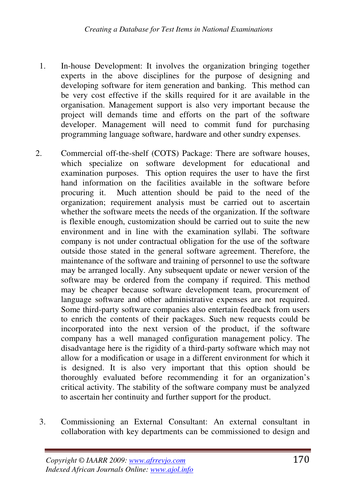- 1. In-house Development: It involves the organization bringing together experts in the above disciplines for the purpose of designing and developing software for item generation and banking. This method can be very cost effective if the skills required for it are available in the organisation. Management support is also very important because the project will demands time and efforts on the part of the software developer. Management will need to commit fund for purchasing programming language software, hardware and other sundry expenses.
- 2. Commercial off-the-shelf (COTS) Package: There are software houses, which specialize on software development for educational and examination purposes. This option requires the user to have the first hand information on the facilities available in the software before procuring it. Much attention should be paid to the need of the organization; requirement analysis must be carried out to ascertain whether the software meets the needs of the organization. If the software is flexible enough, customization should be carried out to suite the new environment and in line with the examination syllabi. The software company is not under contractual obligation for the use of the software outside those stated in the general software agreement. Therefore, the maintenance of the software and training of personnel to use the software may be arranged locally. Any subsequent update or newer version of the software may be ordered from the company if required. This method may be cheaper because software development team, procurement of language software and other administrative expenses are not required. Some third-party software companies also entertain feedback from users to enrich the contents of their packages. Such new requests could be incorporated into the next version of the product, if the software company has a well managed configuration management policy. The disadvantage here is the rigidity of a third-party software which may not allow for a modification or usage in a different environment for which it is designed. It is also very important that this option should be thoroughly evaluated before recommending it for an organization's critical activity. The stability of the software company must be analyzed to ascertain her continuity and further support for the product.
	- 3. Commissioning an External Consultant: An external consultant in collaboration with key departments can be commissioned to design and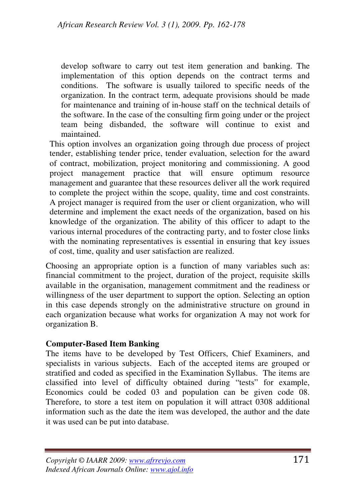develop software to carry out test item generation and banking. The implementation of this option depends on the contract terms and conditions. The software is usually tailored to specific needs of the organization. In the contract term, adequate provisions should be made for maintenance and training of in-house staff on the technical details of the software. In the case of the consulting firm going under or the project team being disbanded, the software will continue to exist and maintained.

This option involves an organization going through due process of project tender, establishing tender price, tender evaluation, selection for the award of contract, mobilization, project monitoring and commissioning. A good project management practice that will ensure optimum resource management and guarantee that these resources deliver all the work required to complete the project within the scope, quality, time and cost constraints. A project manager is required from the user or client organization, who will determine and implement the exact needs of the organization, based on his knowledge of the organization. The ability of this officer to adapt to the various internal procedures of the contracting party, and to foster close links with the nominating representatives is essential in ensuring that key issues of cost, time, quality and user satisfaction are realized.

Choosing an appropriate option is a function of many variables such as: financial commitment to the project, duration of the project, requisite skills available in the organisation, management commitment and the readiness or willingness of the user department to support the option. Selecting an option in this case depends strongly on the administrative structure on ground in each organization because what works for organization A may not work for organization B.

# **Computer-Based Item Banking**

The items have to be developed by Test Officers, Chief Examiners, and specialists in various subjects. Each of the accepted items are grouped or stratified and coded as specified in the Examination Syllabus. The items are classified into level of difficulty obtained during "tests" for example, Economics could be coded 03 and population can be given code 08. Therefore, to store a test item on population it will attract 0308 additional information such as the date the item was developed, the author and the date it was used can be put into database.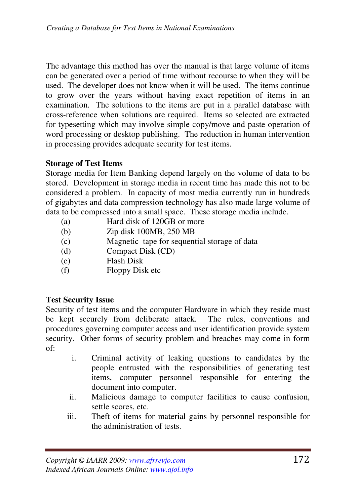The advantage this method has over the manual is that large volume of items can be generated over a period of time without recourse to when they will be used. The developer does not know when it will be used. The items continue to grow over the years without having exact repetition of items in an examination. The solutions to the items are put in a parallel database with cross-reference when solutions are required. Items so selected are extracted for typesetting which may involve simple copy/move and paste operation of word processing or desktop publishing. The reduction in human intervention in processing provides adequate security for test items.

#### **Storage of Test Items**

Storage media for Item Banking depend largely on the volume of data to be stored. Development in storage media in recent time has made this not to be considered a problem. In capacity of most media currently run in hundreds of gigabytes and data compression technology has also made large volume of data to be compressed into a small space. These storage media include.

- (a) Hard disk of 120GB or more
- (b) Zip disk 100MB, 250 MB
- (c) Magnetic tape for sequential storage of data
- (d) Compact Disk (CD)
- (e) Flash Disk
- (f) Floppy Disk etc

# **Test Security Issue**

Security of test items and the computer Hardware in which they reside must be kept securely from deliberate attack. The rules, conventions and procedures governing computer access and user identification provide system security. Other forms of security problem and breaches may come in form of:

- i. Criminal activity of leaking questions to candidates by the people entrusted with the responsibilities of generating test items, computer personnel responsible for entering the document into computer.
- ii. Malicious damage to computer facilities to cause confusion, settle scores, etc.
- iii. Theft of items for material gains by personnel responsible for the administration of tests.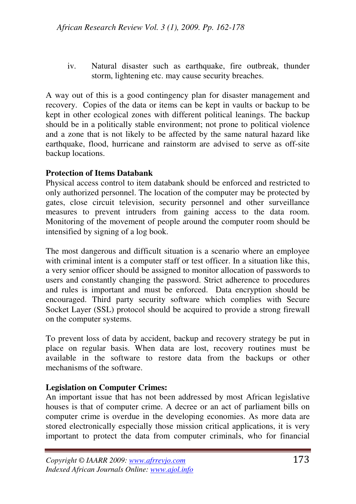iv. Natural disaster such as earthquake, fire outbreak, thunder storm, lightening etc. may cause security breaches.

A way out of this is a good contingency plan for disaster management and recovery. Copies of the data or items can be kept in vaults or backup to be kept in other ecological zones with different political leanings. The backup should be in a politically stable environment; not prone to political violence and a zone that is not likely to be affected by the same natural hazard like earthquake, flood, hurricane and rainstorm are advised to serve as off-site backup locations.

# **Protection of Items Databank**

Physical access control to item databank should be enforced and restricted to only authorized personnel. The location of the computer may be protected by gates, close circuit television, security personnel and other surveillance measures to prevent intruders from gaining access to the data room. Monitoring of the movement of people around the computer room should be intensified by signing of a log book.

The most dangerous and difficult situation is a scenario where an employee with criminal intent is a computer staff or test officer. In a situation like this, a very senior officer should be assigned to monitor allocation of passwords to users and constantly changing the password. Strict adherence to procedures and rules is important and must be enforced. Data encryption should be encouraged. Third party security software which complies with Secure Socket Layer (SSL) protocol should be acquired to provide a strong firewall on the computer systems.

To prevent loss of data by accident, backup and recovery strategy be put in place on regular basis. When data are lost, recovery routines must be available in the software to restore data from the backups or other mechanisms of the software.

# **Legislation on Computer Crimes:**

An important issue that has not been addressed by most African legislative houses is that of computer crime. A decree or an act of parliament bills on computer crime is overdue in the developing economies. As more data are stored electronically especially those mission critical applications, it is very important to protect the data from computer criminals, who for financial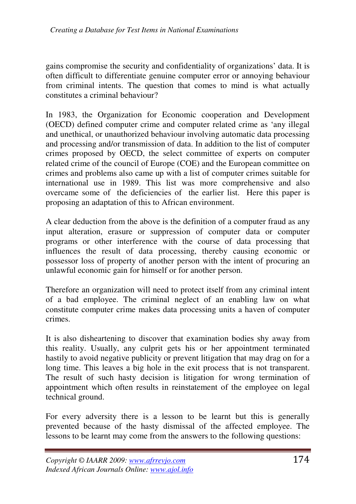gains compromise the security and confidentiality of organizations' data. It is often difficult to differentiate genuine computer error or annoying behaviour from criminal intents. The question that comes to mind is what actually constitutes a criminal behaviour?

In 1983, the Organization for Economic cooperation and Development (OECD) defined computer crime and computer related crime as 'any illegal and unethical, or unauthorized behaviour involving automatic data processing and processing and/or transmission of data. In addition to the list of computer crimes proposed by OECD, the select committee of experts on computer related crime of the council of Europe (COE) and the European committee on crimes and problems also came up with a list of computer crimes suitable for international use in 1989. This list was more comprehensive and also overcame some of the deficiencies of the earlier list. Here this paper is proposing an adaptation of this to African environment.

A clear deduction from the above is the definition of a computer fraud as any input alteration, erasure or suppression of computer data or computer programs or other interference with the course of data processing that influences the result of data processing, thereby causing economic or possessor loss of property of another person with the intent of procuring an unlawful economic gain for himself or for another person.

Therefore an organization will need to protect itself from any criminal intent of a bad employee. The criminal neglect of an enabling law on what constitute computer crime makes data processing units a haven of computer crimes.

It is also disheartening to discover that examination bodies shy away from this reality. Usually, any culprit gets his or her appointment terminated hastily to avoid negative publicity or prevent litigation that may drag on for a long time. This leaves a big hole in the exit process that is not transparent. The result of such hasty decision is litigation for wrong termination of appointment which often results in reinstatement of the employee on legal technical ground.

For every adversity there is a lesson to be learnt but this is generally prevented because of the hasty dismissal of the affected employee. The lessons to be learnt may come from the answers to the following questions: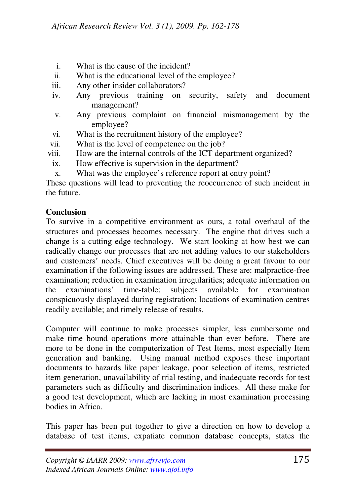- i. What is the cause of the incident?
- ii. What is the educational level of the employee?
- iii. Any other insider collaborators?
- iv. Any previous training on security, safety and document management?
- v. Any previous complaint on financial mismanagement by the employee?
- vi. What is the recruitment history of the employee?
- vii. What is the level of competence on the job?
- viii. How are the internal controls of the ICT department organized?
- ix. How effective is supervision in the department?
- x. What was the employee's reference report at entry point?

These questions will lead to preventing the reoccurrence of such incident in the future.

# **Conclusion**

To survive in a competitive environment as ours, a total overhaul of the structures and processes becomes necessary. The engine that drives such a change is a cutting edge technology. We start looking at how best we can radically change our processes that are not adding values to our stakeholders and customers' needs. Chief executives will be doing a great favour to our examination if the following issues are addressed. These are: malpractice-free examination; reduction in examination irregularities; adequate information on the examinations' time-table; subjects available for examination conspicuously displayed during registration; locations of examination centres readily available; and timely release of results.

Computer will continue to make processes simpler, less cumbersome and make time bound operations more attainable than ever before. There are more to be done in the computerization of Test Items, most especially Item generation and banking. Using manual method exposes these important documents to hazards like paper leakage, poor selection of items, restricted item generation, unavailability of trial testing, and inadequate records for test parameters such as difficulty and discrimination indices. All these make for a good test development, which are lacking in most examination processing bodies in Africa.

This paper has been put together to give a direction on how to develop a database of test items, expatiate common database concepts, states the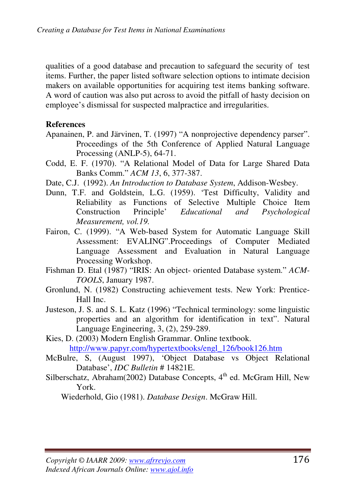qualities of a good database and precaution to safeguard the security of test items. Further, the paper listed software selection options to intimate decision makers on available opportunities for acquiring test items banking software. A word of caution was also put across to avoid the pitfall of hasty decision on employee's dismissal for suspected malpractice and irregularities.

#### **References**

- Apanainen, P. and Järvinen, T. (1997) "A nonprojective dependency parser". Proceedings of the 5th Conference of Applied Natural Language Processing (ANLP-5), 64-71.
- Codd, E. F. (1970). "A Relational Model of Data for Large Shared Data Banks Comm." *ACM 13*, 6, 377-387.
- Date, C.J. (1992). *An Introduction to Database System*, Addison-Wesbey.
- Dunn, T.F. and Goldstein, L.G. (1959). 'Test Difficulty, Validity and Reliability as Functions of Selective Multiple Choice Item Construction Principle' *Educational and Psychological Measurement, vol.19.*
- Fairon, C. (1999). "A Web-based System for Automatic Language Skill Assessment: EVALING".Proceedings of Computer Mediated Language Assessment and Evaluation in Natural Language Processing Workshop.
- Fishman D. Etal (1987) "IRIS: An object- oriented Database system." *ACM-TOOLS*, January 1987.
- Gronlund, N. (1982) Constructing achievement tests. New York: Prentice-Hall Inc.
- Justeson, J. S. and S. L. Katz (1996) "Technical terminology: some linguistic properties and an algorithm for identification in text". Natural Language Engineering, 3, (2), 259-289.
- Kies, D. (2003) Modern English Grammar. Online textbook. http://www.papyr.com/hypertextbooks/engl\_126/book126.htm
- McBulre, S, (August 1997), 'Object Database vs Object Relational Database', *IDC Bulletin* # 14821E.
- Silberschatz, Abraham(2002) Database Concepts, 4<sup>th</sup> ed. McGram Hill, New York.

Wiederhold, Gio (1981). *Database Design*. McGraw Hill.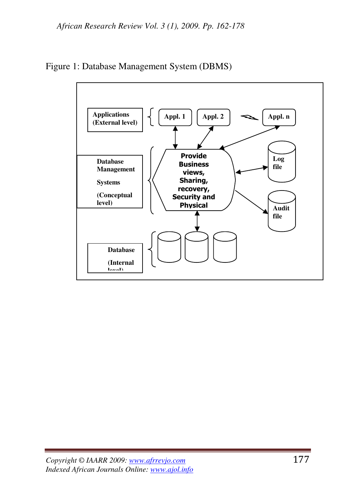